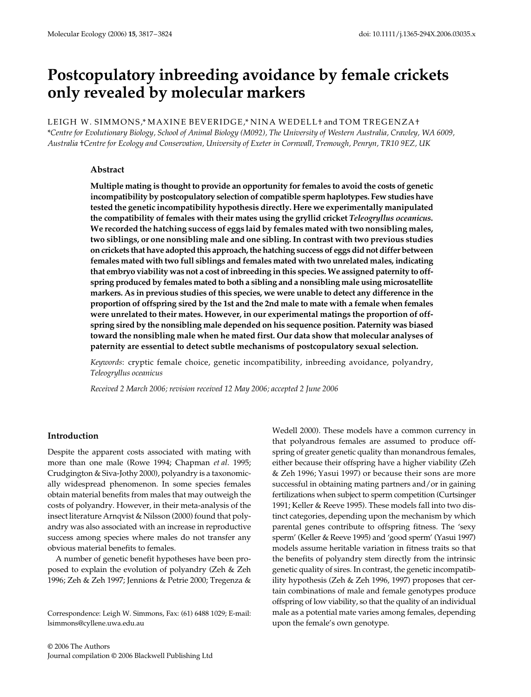# **Postcopulatory inbreeding avoidance by female crickets only revealed by molecular markers**

LEIGH W. SIMMONS,\* MAXINE BEVERIDGE,\* NINA WEDELL† and TOM TREGENZA† \**Centre for Evolutionary Biology, School of Animal Biology (M092), The University of Western Australia, Crawley, WA 6009, Australia* †*Centre for Ecology and Conservation, University of Exeter in Cornwall, Tremough, Penryn, TR10 9EZ, UK*

# **Abstract**

**Multiple mating is thought to provide an opportunity for females to avoid the costs of genetic incompatibility by postcopulatory selection of compatible sperm haplotypes. Few studies have tested the genetic incompatibility hypothesis directly. Here we experimentally manipulated the compatibility of females with their mates using the gryllid cricket** *Teleogryllus oceanicus***. We recorded the hatching success of eggs laid by females mated with two nonsibling males, two siblings, or one nonsibling male and one sibling. In contrast with two previous studies on crickets that have adopted this approach, the hatching success of eggs did not differ between females mated with two full siblings and females mated with two unrelated males, indicating that embryo viability was not a cost of inbreeding in this species. We assigned paternity to offspring produced by females mated to both a sibling and a nonsibling male using microsatellite markers. As in previous studies of this species, we were unable to detect any difference in the proportion of offspring sired by the 1st and the 2nd male to mate with a female when females were unrelated to their mates. However, in our experimental matings the proportion of offspring sired by the nonsibling male depended on his sequence position. Paternity was biased toward the nonsibling male when he mated first. Our data show that molecular analyses of paternity are essential to detect subtle mechanisms of postcopulatory sexual selection.**

*Keywords*: cryptic female choice, genetic incompatibility, inbreeding avoidance, polyandry, *Teleogryllus oceanicus*

*Received 2 March 2006; revision received 12 May 2006; accepted 2 June 2006*

## **Introduction**

Despite the apparent costs associated with mating with more than one male (Rowe 1994; Chapman *et al*. 1995; Crudgington & Siva-Jothy 2000), polyandry is a taxonomically widespread phenomenon. In some species females obtain material benefits from males that may outweigh the costs of polyandry. However, in their meta-analysis of the insect literature Arnqvist & Nilsson (2000) found that polyandry was also associated with an increase in reproductive success among species where males do not transfer any obvious material benefits to females.

A number of genetic benefit hypotheses have been proposed to explain the evolution of polyandry (Zeh & Zeh 1996; Zeh & Zeh 1997; Jennions & Petrie 2000; Tregenza &

Correspondence: Leigh W. Simmons, Fax: (61) 6488 1029; E-mail: lsimmons@cyllene.uwa.edu.au

spring of greater genetic quality than monandrous females, either because their offspring have a higher viability (Zeh & Zeh 1996; Yasui 1997) or because their sons are more successful in obtaining mating partners and/or in gaining fertilizations when subject to sperm competition (Curtsinger 1991; Keller & Reeve 1995). These models fall into two distinct categories, depending upon the mechanism by which parental genes contribute to offspring fitness. The 'sexy sperm' (Keller & Reeve 1995) and 'good sperm' (Yasui 1997) models assume heritable variation in fitness traits so that the benefits of polyandry stem directly from the intrinsic genetic quality of sires. In contrast, the genetic incompatibility hypothesis (Zeh & Zeh 1996, 1997) proposes that certain combinations of male and female genotypes produce offspring of low viability, so that the quality of an individual male as a potential mate varies among females, depending upon the female's own genotype.

Wedell 2000). These models have a common currency in that polyandrous females are assumed to produce off-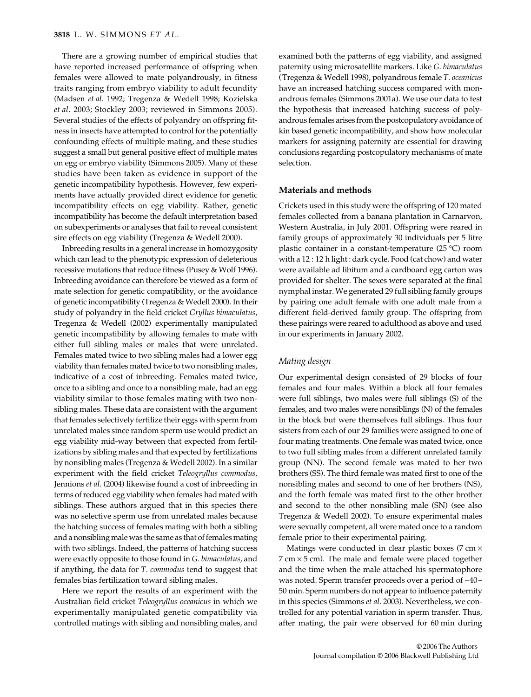There are a growing number of empirical studies that have reported increased performance of offspring when females were allowed to mate polyandrously, in fitness traits ranging from embryo viability to adult fecundity (Madsen *et al*. 1992; Tregenza & Wedell 1998; Kozielska *et al*. 2003; Stockley 2003; reviewed in Simmons 2005). Several studies of the effects of polyandry on offspring fitness in insects have attempted to control for the potentially confounding effects of multiple mating, and these studies suggest a small but general positive effect of multiple mates on egg or embryo viability (Simmons 2005). Many of these studies have been taken as evidence in support of the genetic incompatibility hypothesis. However, few experiments have actually provided direct evidence for genetic incompatibility effects on egg viability. Rather, genetic incompatibility has become the default interpretation based on subexperiments or analyses that fail to reveal consistent sire effects on egg viability (Tregenza & Wedell 2000).

Inbreeding results in a general increase in homozygosity which can lead to the phenotypic expression of deleterious recessive mutations that reduce fitness (Pusey & Wolf 1996). Inbreeding avoidance can therefore be viewed as a form of mate selection for genetic compatibility, or the avoidance of genetic incompatibility (Tregenza & Wedell 2000). In their study of polyandry in the field cricket *Gryllus bimaculatus*, Tregenza & Wedell (2002) experimentally manipulated genetic incompatibility by allowing females to mate with either full sibling males or males that were unrelated. Females mated twice to two sibling males had a lower egg viability than females mated twice to two nonsibling males, indicative of a cost of inbreeding. Females mated twice, once to a sibling and once to a nonsibling male, had an egg viability similar to those females mating with two nonsibling males. These data are consistent with the argument that females selectively fertilize their eggs with sperm from unrelated males since random sperm use would predict an egg viability mid-way between that expected from fertilizations by sibling males and that expected by fertilizations by nonsibling males (Tregenza & Wedell 2002). In a similar experiment with the field cricket *Teleogryllus commodus*, Jennions *et al*. (2004) likewise found a cost of inbreeding in terms of reduced egg viability when females had mated with siblings. These authors argued that in this species there was no selective sperm use from unrelated males because the hatching success of females mating with both a sibling and a nonsibling male was the same as that of females mating with two siblings. Indeed, the patterns of hatching success were exactly opposite to those found in *G. bimaculatus*, and if anything, the data for *T. commodus* tend to suggest that females bias fertilization toward sibling males.

Here we report the results of an experiment with the Australian field cricket *Teleogryllus oceanicus* in which we experimentally manipulated genetic compatibility via controlled matings with sibling and nonsibling males, and examined both the patterns of egg viability, and assigned paternity using microsatellite markers. Like *G. bimaculatus* (Tregenza & Wedell 1998), polyandrous female *T. oceanicus* have an increased hatching success compared with monandrous females (Simmons 2001a). We use our data to test the hypothesis that increased hatching success of polyandrous females arises from the postcopulatory avoidance of kin based genetic incompatibility, and show how molecular markers for assigning paternity are essential for drawing conclusions regarding postcopulatory mechanisms of mate selection.

#### **Materials and methods**

Crickets used in this study were the offspring of 120 mated females collected from a banana plantation in Carnarvon, Western Australia, in July 2001. Offspring were reared in family groups of approximately 30 individuals per 5 litre plastic container in a constant-temperature (25 °C) room with a 12 : 12 h light : dark cycle. Food (cat chow) and water were available ad libitum and a cardboard egg carton was provided for shelter. The sexes were separated at the final nymphal instar. We generated 29 full sibling family groups by pairing one adult female with one adult male from a different field-derived family group. The offspring from these pairings were reared to adulthood as above and used in our experiments in January 2002.

#### *Mating design*

Our experimental design consisted of 29 blocks of four females and four males. Within a block all four females were full siblings, two males were full siblings (S) of the females, and two males were nonsiblings (N) of the females in the block but were themselves full siblings. Thus four sisters from each of our 29 families were assigned to one of four mating treatments. One female was mated twice, once to two full sibling males from a different unrelated family group (NN). The second female was mated to her two brothers (SS). The third female was mated first to one of the nonsibling males and second to one of her brothers (NS), and the forth female was mated first to the other brother and second to the other nonsibling male (SN) (see also Tregenza & Wedell 2002). To ensure experimental males were sexually competent, all were mated once to a random female prior to their experimental pairing.

Matings were conducted in clear plastic boxes  $(7 \text{ cm} \times$  $7 \text{ cm} \times 5 \text{ cm}$ ). The male and female were placed together and the time when the male attached his spermatophore was noted. Sperm transfer proceeds over a period of ∼40– 50 min. Sperm numbers do not appear to influence paternity in this species (Simmons *et al*. 2003). Nevertheless, we controlled for any potential variation in sperm transfer. Thus, after mating, the pair were observed for 60 min during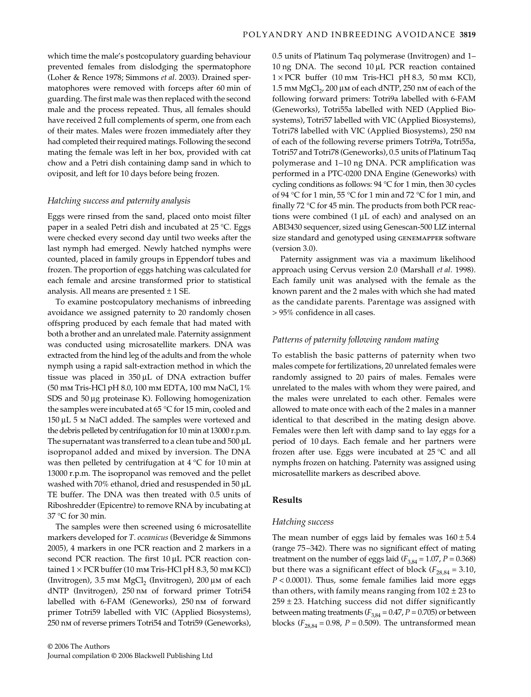which time the male's postcopulatory guarding behaviour prevented females from dislodging the spermatophore (Loher & Rence 1978; Simmons *et al*. 2003). Drained spermatophores were removed with forceps after 60 min of guarding. The first male was then replaced with the second male and the process repeated. Thus, all females should have received 2 full complements of sperm, one from each of their mates. Males were frozen immediately after they had completed their required matings. Following the second mating the female was left in her box, provided with cat chow and a Petri dish containing damp sand in which to oviposit, and left for 10 days before being frozen.

## *Hatching success and paternity analysis*

Eggs were rinsed from the sand, placed onto moist filter paper in a sealed Petri dish and incubated at 25 °C. Eggs were checked every second day until two weeks after the last nymph had emerged. Newly hatched nymphs were counted, placed in family groups in Eppendorf tubes and frozen. The proportion of eggs hatching was calculated for each female and arcsine transformed prior to statistical analysis. All means are presented  $\pm$  1 SE.

To examine postcopulatory mechanisms of inbreeding avoidance we assigned paternity to 20 randomly chosen offspring produced by each female that had mated with both a brother and an unrelated male. Paternity assignment was conducted using microsatellite markers. DNA was extracted from the hind leg of the adults and from the whole nymph using a rapid salt-extraction method in which the tissue was placed in 350 µL of DNA extraction buffer (50 mm Tris-HCl pH 8.0, 100 mm EDTA, 100 mm NaCl, 1% SDS and 50 µg proteinase K). Following homogenization the samples were incubated at 65 °C for 15 min, cooled and 150 µL 5 m NaCl added. The samples were vortexed and the debris pelleted by centrifugation for 10 min at 13000 r.p.m. The supernatant was transferred to a clean tube and 500 µL isopropanol added and mixed by inversion. The DNA was then pelleted by centrifugation at  $4^{\circ}$ C for 10 min at 13000 r.p.m. The isopropanol was removed and the pellet washed with 70% ethanol, dried and resuspended in 50 µL TE buffer. The DNA was then treated with 0.5 units of Riboshredder (Epicentre) to remove RNA by incubating at 37 °C for 30 min.

The samples were then screened using 6 microsatellite markers developed for *T. oceanicus* (Beveridge & Simmons 2005), 4 markers in one PCR reaction and 2 markers in a second PCR reaction. The first 10 µL PCR reaction contained  $1 \times PCR$  buffer (10 mm Tris-HCl pH 8.3, 50 mm KCl) (Invitrogen),  $3.5$  mm MgCl<sub>2</sub> (Invitrogen),  $200 \mu$ m of each dNTP (Invitrogen), 250 nm of forward primer Totri54 labelled with 6-FAM (Geneworks), 250 nm of forward primer Totri59 labelled with VIC (Applied Biosystems), 250 nm of reverse primers Totri54 and Totri59 (Geneworks), 0.5 units of Platinum Taq polymerase (Invitrogen) and 1– 10 ng DNA. The second 10 µL PCR reaction contained  $1 \times PCR$  buffer (10 mm Tris-HCl pH 8.3, 50 mm KCl), 1.5 mm  $MgCl<sub>2</sub>$ , 200 µm of each dNTP, 250 nm of each of the following forward primers: Totri9a labelled with 6-FAM (Geneworks), Totri55a labelled with NED (Applied Biosystems), Totri57 labelled with VIC (Applied Biosystems), Totri78 labelled with VIC (Applied Biosystems), 250 nm of each of the following reverse primers Totri9a, Totri55a, Totri57 and Totri78 (Geneworks), 0.5 units of Platinum Taq polymerase and 1–10 ng DNA. PCR amplification was performed in a PTC-0200 DNA Engine (Geneworks) with cycling conditions as follows: 94 °C for 1 min, then 30 cycles of 94 °C for 1 min, 55 °C for 1 min and 72 °C for 1 min, and finally 72 °C for 45 min. The products from both PCR reactions were combined (1 µL of each) and analysed on an ABI3430 sequencer, sized using Genescan-500 LIZ internal size standard and genotyped using genemapper software (version 3.0).

Paternity assignment was via a maximum likelihood approach using Cervus version 2.0 (Marshall *et al*. 1998). Each family unit was analysed with the female as the known parent and the 2 males with which she had mated as the candidate parents. Parentage was assigned with > 95% confidence in all cases.

## *Patterns of paternity following random mating*

To establish the basic patterns of paternity when two males compete for fertilizations, 20 unrelated females were randomly assigned to 20 pairs of males. Females were unrelated to the males with whom they were paired, and the males were unrelated to each other. Females were allowed to mate once with each of the 2 males in a manner identical to that described in the mating design above. Females were then left with damp sand to lay eggs for a period of 10 days. Each female and her partners were frozen after use. Eggs were incubated at 25 °C and all nymphs frozen on hatching. Paternity was assigned using microsatellite markers as described above.

## **Results**

#### *Hatching success*

The mean number of eggs laid by females was  $160 \pm 5.4$ (range 75–342). There was no significant effect of mating treatment on the number of eggs laid  $(F_{3,84} = 1.07, P = 0.368)$ but there was a significant effect of block  $(F_{28,84} = 3.10)$ , *P* < 0.0001). Thus, some female families laid more eggs than others, with family means ranging from  $102 \pm 23$  to  $259 \pm 23$ . Hatching success did not differ significantly between mating treatments  $(F_{3,84} = 0.47, P = 0.705)$  or between blocks ( $F_{28,84}$  = 0.98, *P* = 0.509). The untransformed mean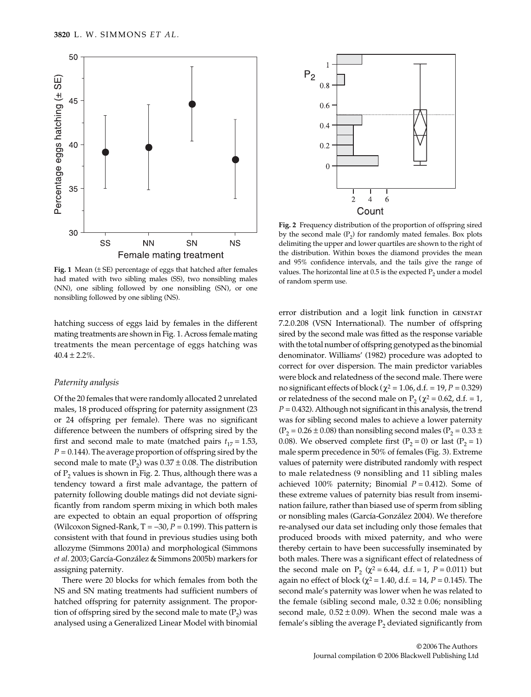

**Fig. 1** Mean (± SE) percentage of eggs that hatched after females had mated with two sibling males (SS), two nonsibling males (NN), one sibling followed by one nonsibling (SN), or one nonsibling followed by one sibling (NS).

hatching success of eggs laid by females in the different mating treatments are shown in Fig. 1. Across female mating treatments the mean percentage of eggs hatching was  $40.4 \pm 2.2\%$ .

#### *Paternity analysis*

Of the 20 females that were randomly allocated 2 unrelated males, 18 produced offspring for paternity assignment (23 or 24 offspring per female). There was no significant difference between the numbers of offspring sired by the first and second male to mate (matched pairs  $t_{17} = 1.53$ , *P* = 0.144). The average proportion of offspring sired by the second male to mate  $(P_2)$  was  $0.37 \pm 0.08$ . The distribution of  $P_2$  values is shown in Fig. 2. Thus, although there was a tendency toward a first male advantage, the pattern of paternity following double matings did not deviate significantly from random sperm mixing in which both males are expected to obtain an equal proportion of offspring (Wilcoxon Signed-Rank, T = −30, *P* = 0.199). This pattern is consistent with that found in previous studies using both allozyme (Simmons 2001a) and morphological (Simmons *et al*. 2003; García-González & Simmons 2005b) markers for assigning paternity.

There were 20 blocks for which females from both the NS and SN mating treatments had sufficient numbers of hatched offspring for paternity assignment. The proportion of offspring sired by the second male to mate  $(P_2)$  was analysed using a Generalized Linear Model with binomial



**Fig. 2** Frequency distribution of the proportion of offspring sired by the second male  $(P_2)$  for randomly mated females. Box plots delimiting the upper and lower quartiles are shown to the right of the distribution. Within boxes the diamond provides the mean and 95% confidence intervals, and the tails give the range of values. The horizontal line at  $0.5$  is the expected  $P_2$  under a model of random sperm use.

error distribution and a logit link function in GENSTAT 7.2.0.208 (VSN International). The number of offspring sired by the second male was fitted as the response variable with the total number of offspring genotyped as the binomial denominator. Williams' (1982) procedure was adopted to correct for over dispersion. The main predictor variables were block and relatedness of the second male. There were no significant effects of block ( $χ$ <sup>2</sup> = 1.06, d.f. = 19, *P* = 0.329) or relatedness of the second male on  $P_2$  ( $\chi^2$  = 0.62, d.f. = 1,  $P = 0.432$ ). Although not significant in this analysis, the trend was for sibling second males to achieve a lower paternity (P<sub>2</sub> = 0.26 ± 0.08) than nonsibling second males (P<sub>2</sub> = 0.33 ± 0.08). We observed complete first ( $P_2 = 0$ ) or last ( $P_2 = 1$ ) male sperm precedence in 50% of females (Fig. 3). Extreme values of paternity were distributed randomly with respect to male relatedness (9 nonsibling and 11 sibling males achieved 100% paternity; Binomial  $P = 0.412$ ). Some of these extreme values of paternity bias result from insemination failure, rather than biased use of sperm from sibling or nonsibling males (García-González 2004). We therefore re-analysed our data set including only those females that produced broods with mixed paternity, and who were thereby certain to have been successfully inseminated by both males. There was a significant effect of relatedness of the second male on P<sub>2</sub> ( $\chi^2 = 6.44$ , d.f. = 1, P = 0.011) but again no effect of block (χ2 = 1.40, d.f. = 14, *P* = 0.145). The second male's paternity was lower when he was related to the female (sibling second male,  $0.32 \pm 0.06$ ; nonsibling second male,  $0.52 \pm 0.09$ ). When the second male was a female's sibling the average  $P_2$  deviated significantly from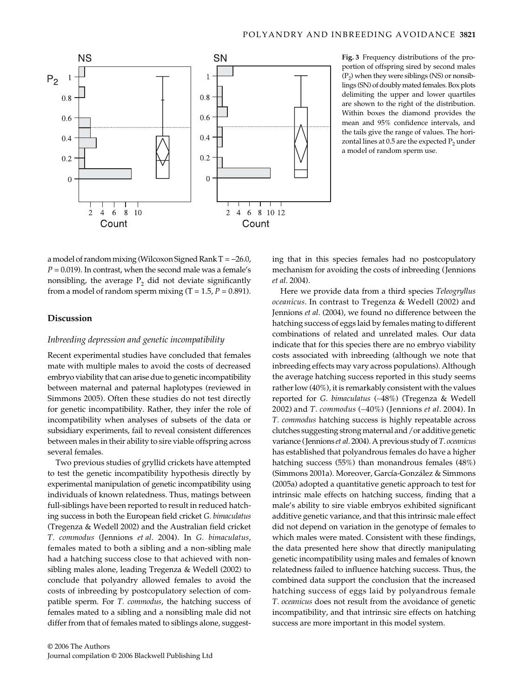

**Fig. 3** Frequency distributions of the proportion of offspring sired by second males  $(P_2)$  when they were siblings (NS) or nonsiblings (SN) of doubly mated females. Box plots delimiting the upper and lower quartiles are shown to the right of the distribution. Within boxes the diamond provides the mean and 95% confidence intervals, and the tails give the range of values. The horizontal lines at  $0.5$  are the expected  $P<sub>2</sub>$  under a model of random sperm use.

a model of random mixing (Wilcoxon Signed Rank T = −26.0,  $P = 0.019$ ). In contrast, when the second male was a female's nonsibling, the average  $P_2$  did not deviate significantly from a model of random sperm mixing  $(T = 1.5, P = 0.891)$ .

## **Discussion**

## *Inbreeding depression and genetic incompatibility*

Recent experimental studies have concluded that females mate with multiple males to avoid the costs of decreased embryo viability that can arise due to genetic incompatibility between maternal and paternal haplotypes (reviewed in Simmons 2005). Often these studies do not test directly for genetic incompatibility. Rather, they infer the role of incompatibility when analyses of subsets of the data or subsidiary experiments, fail to reveal consistent differences between males in their ability to sire viable offspring across several females.

Two previous studies of gryllid crickets have attempted to test the genetic incompatibility hypothesis directly by experimental manipulation of genetic incompatibility using individuals of known relatedness. Thus, matings between full-siblings have been reported to result in reduced hatching success in both the European field cricket *G. bimaculatus* (Tregenza & Wedell 2002) and the Australian field cricket *T. commodus* (Jennions *et al*. 2004). In *G. bimaculatus*, females mated to both a sibling and a non-sibling male had a hatching success close to that achieved with nonsibling males alone, leading Tregenza & Wedell (2002) to conclude that polyandry allowed females to avoid the costs of inbreeding by postcopulatory selection of compatible sperm. For *T. commodus*, the hatching success of females mated to a sibling and a nonsibling male did not differ from that of females mated to siblings alone, suggesting that in this species females had no postcopulatory mechanism for avoiding the costs of inbreeding (Jennions *et al*. 2004).

Here we provide data from a third species *Teleogryllus oceanicus*. In contrast to Tregenza & Wedell (2002) and Jennions *et al*. (2004), we found no difference between the hatching success of eggs laid by females mating to different combinations of related and unrelated males. Our data indicate that for this species there are no embryo viability costs associated with inbreeding (although we note that inbreeding effects may vary across populations). Although the average hatching success reported in this study seems rather low (40%), it is remarkably consistent with the values reported for *G. bimaculatus* (∼48%) (Tregenza & Wedell 2002) and *T. commodus* (∼40%) (Jennions *et al*. 2004). In *T. commodus* hatching success is highly repeatable across clutches suggesting strong maternal and/or additive genetic variance (Jennions *et al*. 2004). A previous study of *T. oceanicus* has established that polyandrous females do have a higher hatching success (55%) than monandrous females (48%) (Simmons 2001a). Moreover, García-González & Simmons (2005a) adopted a quantitative genetic approach to test for intrinsic male effects on hatching success, finding that a male's ability to sire viable embryos exhibited significant additive genetic variance, and that this intrinsic male effect did not depend on variation in the genotype of females to which males were mated. Consistent with these findings, the data presented here show that directly manipulating genetic incompatibility using males and females of known relatedness failed to influence hatching success. Thus, the combined data support the conclusion that the increased hatching success of eggs laid by polyandrous female *T. oceanicus* does not result from the avoidance of genetic incompatibility, and that intrinsic sire effects on hatching success are more important in this model system.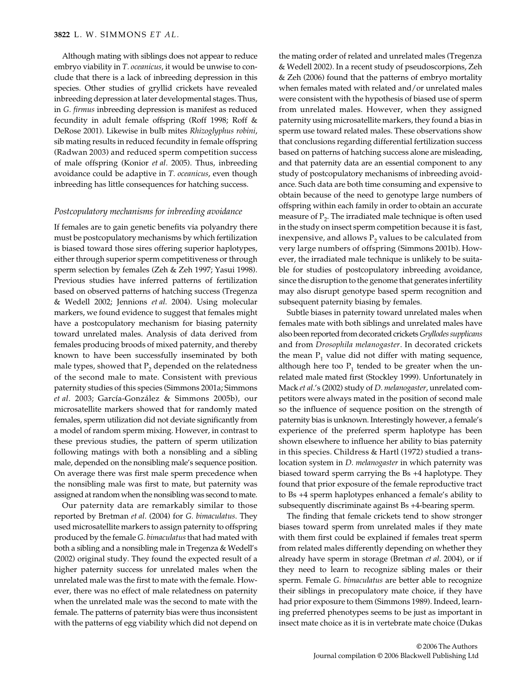Although mating with siblings does not appear to reduce embryo viability in *T. oceanicus*, it would be unwise to conclude that there is a lack of inbreeding depression in this species. Other studies of gryllid crickets have revealed inbreeding depression at later developmental stages. Thus, in *G. firmus* inbreeding depression is manifest as reduced fecundity in adult female offspring (Roff 1998; Roff & DeRose 2001). Likewise in bulb mites *Rhizoglyphus robini*, sib mating results in reduced fecundity in female offspring (Radwan 2003) and reduced sperm competition success of male offspring (Konior *et al*. 2005). Thus, inbreeding avoidance could be adaptive in *T. oceanicus*, even though inbreeding has little consequences for hatching success.

#### *Postcopulatory mechanisms for inbreeding avoidance*

If females are to gain genetic benefits via polyandry there must be postcopulatory mechanisms by which fertilization is biased toward those sires offering superior haplotypes, either through superior sperm competitiveness or through sperm selection by females (Zeh & Zeh 1997; Yasui 1998). Previous studies have inferred patterns of fertilization based on observed patterns of hatching success (Tregenza & Wedell 2002; Jennions *et al*. 2004). Using molecular markers, we found evidence to suggest that females might have a postcopulatory mechanism for biasing paternity toward unrelated males. Analysis of data derived from females producing broods of mixed paternity, and thereby known to have been successfully inseminated by both male types, showed that  $P_2$  depended on the relatedness of the second male to mate. Consistent with previous paternity studies of this species (Simmons 2001a; Simmons *et al*. 2003; García-González & Simmons 2005b), our microsatellite markers showed that for randomly mated females, sperm utilization did not deviate significantly from a model of random sperm mixing. However, in contrast to these previous studies, the pattern of sperm utilization following matings with both a nonsibling and a sibling male, depended on the nonsibling male's sequence position. On average there was first male sperm precedence when the nonsibling male was first to mate, but paternity was assigned at random when the nonsibling was second to mate.

Our paternity data are remarkably similar to those reported by Bretman *et al*. (2004) for *G. bimaculatus*. They used microsatellite markers to assign paternity to offspring produced by the female *G. bimaculatus*that had mated with both a sibling and a nonsibling male in Tregenza & Wedell's (2002) original study. They found the expected result of a higher paternity success for unrelated males when the unrelated male was the first to mate with the female. However, there was no effect of male relatedness on paternity when the unrelated male was the second to mate with the female. The patterns of paternity bias were thus inconsistent with the patterns of egg viability which did not depend on

the mating order of related and unrelated males (Tregenza & Wedell 2002). In a recent study of pseudoscorpions, Zeh & Zeh (2006) found that the patterns of embryo mortality when females mated with related and/or unrelated males were consistent with the hypothesis of biased use of sperm from unrelated males. However, when they assigned paternity using microsatellite markers, they found a bias in sperm use toward related males. These observations show that conclusions regarding differential fertilization success based on patterns of hatching success alone are misleading, and that paternity data are an essential component to any study of postcopulatory mechanisms of inbreeding avoidance. Such data are both time consuming and expensive to obtain because of the need to genotype large numbers of offspring within each family in order to obtain an accurate measure of  $P_2$ . The irradiated male technique is often used in the study on insect sperm competition because it is fast, inexpensive, and allows  $P_2$  values to be calculated from very large numbers of offspring (Simmons 2001b). However, the irradiated male technique is unlikely to be suitable for studies of postcopulatory inbreeding avoidance, since the disruption to the genome that generates infertility may also disrupt genotype based sperm recognition and subsequent paternity biasing by females.

Subtle biases in paternity toward unrelated males when females mate with both siblings and unrelated males have also been reported from decorated crickets *Gryllodes supplicans* and from *Drosophila melanogaster*. In decorated crickets the mean  $P_1$  value did not differ with mating sequence, although here too  $P_1$  tended to be greater when the unrelated male mated first (Stockley 1999). Unfortunately in Mack *et al*.'s (2002) study of *D. melanogaster*, unrelated competitors were always mated in the position of second male so the influence of sequence position on the strength of paternity bias is unknown. Interestingly however, a female's experience of the preferred sperm haplotype has been shown elsewhere to influence her ability to bias paternity in this species. Childress & Hartl (1972) studied a translocation system in *D. melanogaster* in which paternity was biased toward sperm carrying the Bs +4 haplotype. They found that prior exposure of the female reproductive tract to Bs +4 sperm haplotypes enhanced a female's ability to subsequently discriminate against Bs +4-bearing sperm.

The finding that female crickets tend to show stronger biases toward sperm from unrelated males if they mate with them first could be explained if females treat sperm from related males differently depending on whether they already have sperm in storage (Bretman *et al*. 2004), or if they need to learn to recognize sibling males or their sperm. Female *G. bimaculatus* are better able to recognize their siblings in precopulatory mate choice, if they have had prior exposure to them (Simmons 1989). Indeed, learning preferred phenotypes seems to be just as important in insect mate choice as it is in vertebrate mate choice (Dukas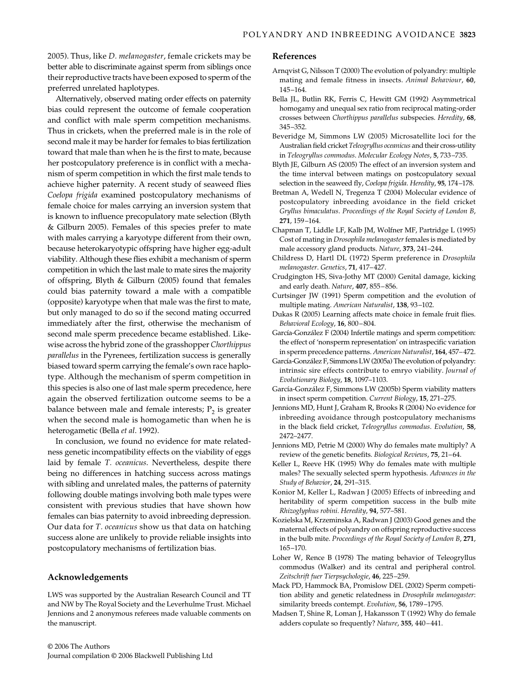2005). Thus, like *D. melanogaster*, female crickets may be better able to discriminate against sperm from siblings once their reproductive tracts have been exposed to sperm of the preferred unrelated haplotypes.

Alternatively, observed mating order effects on paternity bias could represent the outcome of female cooperation and conflict with male sperm competition mechanisms. Thus in crickets, when the preferred male is in the role of second male it may be harder for females to bias fertilization toward that male than when he is the first to mate, because her postcopulatory preference is in conflict with a mechanism of sperm competition in which the first male tends to achieve higher paternity. A recent study of seaweed flies *Coelopa frigida* examined postcopulatory mechanisms of female choice for males carrying an inversion system that is known to influence precopulatory mate selection (Blyth & Gilburn 2005). Females of this species prefer to mate with males carrying a karyotype different from their own, because heterokaryotypic offspring have higher egg-adult viability. Although these flies exhibit a mechanism of sperm competition in which the last male to mate sires the majority of offspring, Blyth & Gilburn (2005) found that females could bias paternity toward a male with a compatible (opposite) karyotype when that male was the first to mate, but only managed to do so if the second mating occurred immediately after the first, otherwise the mechanism of second male sperm precedence became established. Likewise across the hybrid zone of the grasshopper *Chorthippus parallelus* in the Pyrenees, fertilization success is generally biased toward sperm carrying the female's own race haplotype. Although the mechanism of sperm competition in this species is also one of last male sperm precedence, here again the observed fertilization outcome seems to be a balance between male and female interests;  $P_2$  is greater when the second male is homogametic than when he is heterogametic (Bella *et al*. 1992).

In conclusion, we found no evidence for mate relatedness genetic incompatibility effects on the viability of eggs laid by female *T. oceanicus*. Nevertheless, despite there being no differences in hatching success across matings with sibling and unrelated males, the patterns of paternity following double matings involving both male types were consistent with previous studies that have shown how females can bias paternity to avoid inbreeding depression. Our data for *T. oceanicus* show us that data on hatching success alone are unlikely to provide reliable insights into postcopulatory mechanisms of fertilization bias.

#### **Acknowledgements**

LWS was supported by the Australian Research Council and TT and NW by The Royal Society and the Leverhulme Trust. Michael Jennions and 2 anonymous referees made valuable comments on the manuscript.

## © 2006 The Authors Journal compilation © 2006 Blackwell Publishing Ltd

#### **References**

- Arnqvist G, Nilsson T (2000) The evolution of polyandry: multiple mating and female fitness in insects. *Animal Behaviour*, **60**, 145–164.
- Bella JL, Butlin RK, Ferris C, Hewitt GM (1992) Asymmetrical homogamy and unequal sex ratio from reciprocal mating-order crosses between *Chorthippus parallelus* subspecies. *Heredity*, **68**, 345–352.
- Beveridge M, Simmons LW (2005) Microsatellite loci for the Australian field cricket *Teleogryllus oceanicus* and their cross-utility in *Teleogryllus commodus*. *Molecular Ecology Notes*, **5**, 733–735.
- Blyth JE, Gilburn AS (2005) The effect of an inversion system and the time interval between matings on postcopulatory sexual selection in the seaweed fly, *Coelopa frigida*. *Heredity*, **95**, 174–178.
- Bretman A, Wedell N, Tregenza T (2004) Molecular evidence of postcopulatory inbreeding avoidance in the field cricket *Gryllus bimaculatus*. *Proceedings of the Royal Society of London B*, **271**, 159–164.
- Chapman T, Liddle LF, Kalb JM, Wolfner MF, Partridge L (1995) Cost of mating in *Drosophila melanogaster* females is mediated by male accessory gland products. *Nature*, **373**, 241–244.
- Childress D, Hartl DL (1972) Sperm preference in *Drosophila melanogaster*. *Genetics*, **71**, 417–427.
- Crudgington HS, Siva-Jothy MT (2000) Genital damage, kicking and early death. *Nature*, **407**, 855–856.
- Curtsinger JW (1991) Sperm competition and the evolution of multiple mating. *American Naturalist*, **138**, 93–102.
- Dukas R (2005) Learning affects mate choice in female fruit flies. *Behavioral Ecology*, **16**, 800–804.
- García-González F (2004) Infertile matings and sperm competition: the effect of 'nonsperm representation' on intraspecific variation in sperm precedence patterns. *American Naturalist*, **164**, 457–472.
- García-González F, Simmons LW (2005a) The evolution of polyandry: intrinsic sire effects contribute to emryo viability. *Journal of Evolutionary Biology*, **18**, 1097–1103.
- García-González F, Simmons LW (2005b) Sperm viability matters in insect sperm competition. *Current Biology*, **15**, 271–275.
- Jennions MD, Hunt J, Graham R, Brooks R (2004) No evidence for inbreeding avoidance through postcopulatory mechanisms in the black field cricket, *Teleogryllus commodus*. *Evolution*, **58**, 2472–2477.
- Jennions MD, Petrie M (2000) Why do females mate multiply? A review of the genetic benefits. *Biological Reviews*, **75**, 21–64.
- Keller L, Reeve HK (1995) Why do females mate with multiple males? The sexually selected sperm hypothesis. *Advances in the Study of Behavior*, **24**, 291–315.
- Konior M, Keller L, Radwan J (2005) Effects of inbreeding and heritability of sperm competition success in the bulb mite *Rhizoglyphus robini*. *Heredity*, **94**, 577–581.
- Kozielska M, Krzeminska A, Radwan J (2003) Good genes and the maternal effects of polyandry on offspring reproductive success in the bulb mite. *Proceedings of the Royal Society of London B*, **271**, 165–170.
- Loher W, Rence B (1978) The mating behavior of Teleogryllus commodus (Walker) and its central and peripheral control. *Zeitschrift fuer Tierpsychologie*, **46**, 225–259.
- Mack PD, Hammock BA, Promislow DEL (2002) Sperm competition ability and genetic relatedness in *Drosophila melanogaster*: similarity breeds contempt. *Evolution*, **56**, 1789–1795.
- Madsen T, Shine R, Loman J, Hakansson T (1992) Why do female adders copulate so frequently? *Nature*, **355**, 440–441.